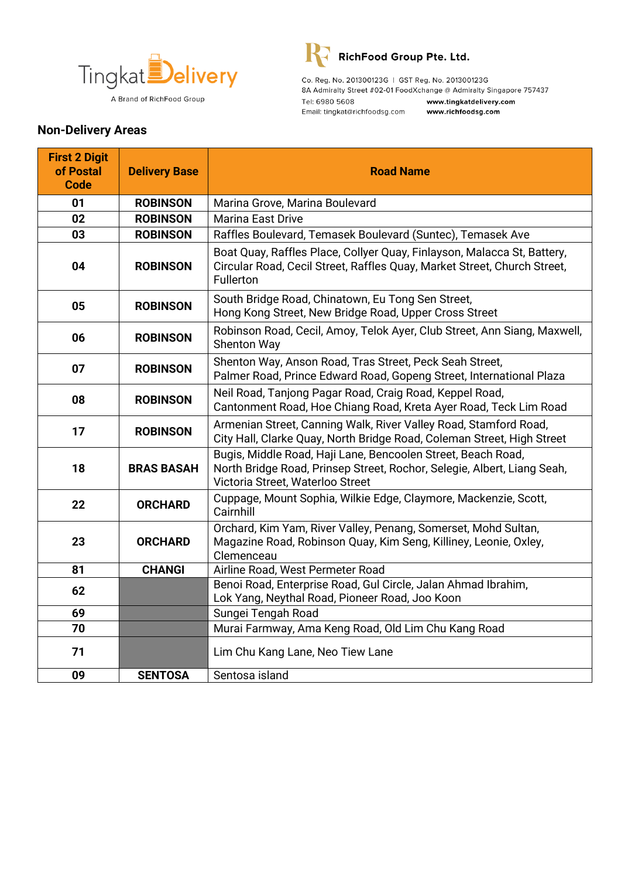



Co. Reg. No. 201300123G | GST Reg. No. 201300123G 8A Admiralty Street #02-01 FoodXchange @ Admiralty Singapore 757437 Tel: 6980 5608 www.tingkatdelivery.com Email: tingkat@richfoodsg.com www.richfoodsg.com

## **Non-Delivery Areas**

| <b>First 2 Digit</b><br>of Postal<br><b>Code</b> | <b>Delivery Base</b> | <b>Road Name</b>                                                                                                                                                            |
|--------------------------------------------------|----------------------|-----------------------------------------------------------------------------------------------------------------------------------------------------------------------------|
| 01                                               | <b>ROBINSON</b>      | Marina Grove, Marina Boulevard                                                                                                                                              |
| 02                                               | <b>ROBINSON</b>      | Marina East Drive                                                                                                                                                           |
| 03                                               | <b>ROBINSON</b>      | Raffles Boulevard, Temasek Boulevard (Suntec), Temasek Ave                                                                                                                  |
| 04                                               | <b>ROBINSON</b>      | Boat Quay, Raffles Place, Collyer Quay, Finlayson, Malacca St, Battery,<br>Circular Road, Cecil Street, Raffles Quay, Market Street, Church Street,<br>Fullerton            |
| 05                                               | <b>ROBINSON</b>      | South Bridge Road, Chinatown, Eu Tong Sen Street,<br>Hong Kong Street, New Bridge Road, Upper Cross Street                                                                  |
| 06                                               | <b>ROBINSON</b>      | Robinson Road, Cecil, Amoy, Telok Ayer, Club Street, Ann Siang, Maxwell,<br><b>Shenton Way</b>                                                                              |
| 07                                               | <b>ROBINSON</b>      | Shenton Way, Anson Road, Tras Street, Peck Seah Street,<br>Palmer Road, Prince Edward Road, Gopeng Street, International Plaza                                              |
| 08                                               | <b>ROBINSON</b>      | Neil Road, Tanjong Pagar Road, Craig Road, Keppel Road,<br>Cantonment Road, Hoe Chiang Road, Kreta Ayer Road, Teck Lim Road                                                 |
| 17                                               | <b>ROBINSON</b>      | Armenian Street, Canning Walk, River Valley Road, Stamford Road,<br>City Hall, Clarke Quay, North Bridge Road, Coleman Street, High Street                                  |
| 18                                               | <b>BRAS BASAH</b>    | Bugis, Middle Road, Haji Lane, Bencoolen Street, Beach Road,<br>North Bridge Road, Prinsep Street, Rochor, Selegie, Albert, Liang Seah,<br>Victoria Street, Waterloo Street |
| 22                                               | <b>ORCHARD</b>       | Cuppage, Mount Sophia, Wilkie Edge, Claymore, Mackenzie, Scott,<br>Cairnhill                                                                                                |
| 23                                               | <b>ORCHARD</b>       | Orchard, Kim Yam, River Valley, Penang, Somerset, Mohd Sultan,<br>Magazine Road, Robinson Quay, Kim Seng, Killiney, Leonie, Oxley,<br>Clemenceau                            |
| 81                                               | <b>CHANGI</b>        | Airline Road, West Permeter Road                                                                                                                                            |
| 62                                               |                      | Benoi Road, Enterprise Road, Gul Circle, Jalan Ahmad Ibrahim,<br>Lok Yang, Neythal Road, Pioneer Road, Joo Koon                                                             |
| 69                                               |                      | Sungei Tengah Road                                                                                                                                                          |
| 70                                               |                      | Murai Farmway, Ama Keng Road, Old Lim Chu Kang Road                                                                                                                         |
| 71                                               |                      | Lim Chu Kang Lane, Neo Tiew Lane                                                                                                                                            |
| 09                                               | <b>SENTOSA</b>       | Sentosa island                                                                                                                                                              |